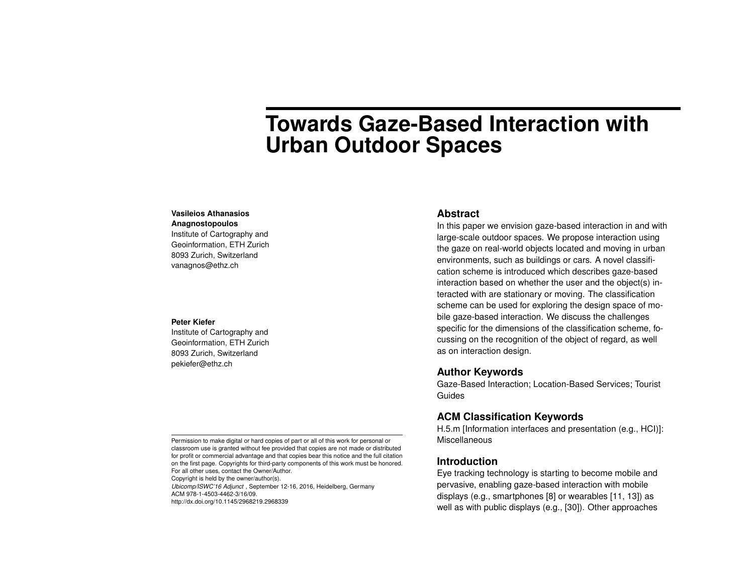# **Towards Gaze-Based Interaction with Urban Outdoor Spaces**

### **Vasileios Athanasios**

#### **Anagnostopoulos**

Institute of Cartography and Geoinformation, ETH Zurich 8093 Zurich, Switzerland vanagnos@ethz.ch

#### **Peter Kiefer**

Institute of Cartography and Geoinformation, ETH Zurich 8093 Zurich, Switzerland pekiefer@ethz.ch

Permission to make digital or hard copies of part or all of this work for personal or classroom use is granted without fee provided that copies are not made or distributed for profit or commercial advantage and that copies bear this notice and the full citation on the first page. Copyrights for third-party components of this work must be honored. For all other uses, contact the Owner/Author.

Copyright is held by the owner/author(s).

*Ubicomp/ISWC'16 Adjunct* , September 12-16, 2016, Heidelberg, Germany ACM 978-1-4503-4462-3/16/09.

http://dx.doi.org/10.1145/2968219.2968339

## **Abstract**

In this paper we envision gaze-based interaction in and with large-scale outdoor spaces. We propose interaction using the gaze on real-world objects located and moving in urban environments, such as buildings or cars. A novel classification scheme is introduced which describes gaze-based interaction based on whether the user and the object(s) interacted with are stationary or moving. The classification scheme can be used for exploring the design space of mobile gaze-based interaction. We discuss the challenges specific for the dimensions of the classification scheme, focussing on the recognition of the object of regard, as well as on interaction design.

## **Author Keywords**

Gaze-Based Interaction; Location-Based Services; Tourist Guides

# **ACM Classification Keywords**

H.5.m [Information interfaces and presentation (e.g., HCI)]: Miscellaneous

# **Introduction**

Eye tracking technology is starting to become mobile and pervasive, enabling gaze-based interaction with mobile displays (e.g., smartphones [\[8\]](#page-8-0) or wearables [\[11,](#page-8-1) [13\]](#page-8-2)) as well as with public displays (e.g., [\[30\]](#page-9-0)). Other approaches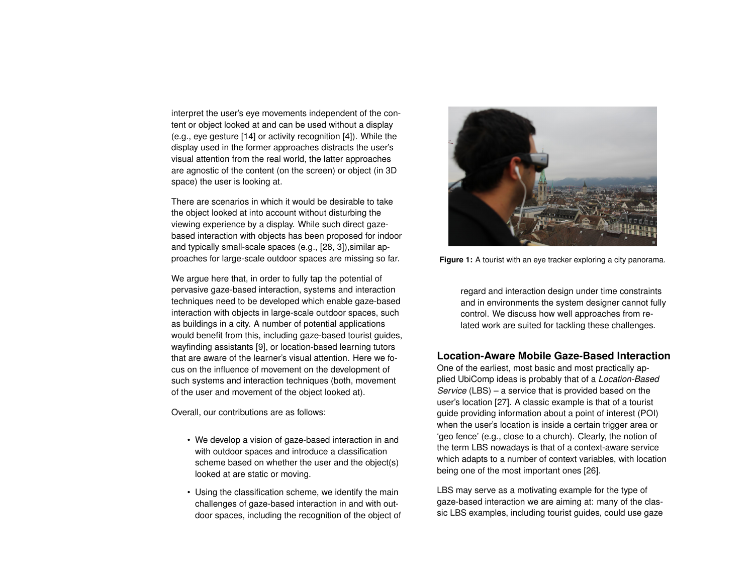interpret the user's eye movements independent of the content or object looked at and can be used without a display (e.g., eye gesture [\[14\]](#page-8-3) or activity recognition [\[4\]](#page-7-0)). While the display used in the former approaches distracts the user's visual attention from the real world, the latter approaches are agnostic of the content (on the screen) or object (in 3D space) the user is looking at.

There are scenarios in which it would be desirable to take the object looked at into account without disturbing the viewing experience by a display. While such direct gazebased interaction with objects has been proposed for indoor and typically small-scale spaces (e.g., [\[28,](#page-9-1) [3\]](#page-7-1)),similar approaches for large-scale outdoor spaces are missing so far.

We argue here that, in order to fully tap the potential of pervasive gaze-based interaction, systems and interaction techniques need to be developed which enable gaze-based interaction with objects in large-scale outdoor spaces, such as buildings in a city. A number of potential applications would benefit from this, including gaze-based tourist guides, wayfinding assistants [\[9\]](#page-8-4), or location-based learning tutors that are aware of the learner's visual attention. Here we focus on the influence of movement on the development of such systems and interaction techniques (both, movement of the user and movement of the object looked at).

Overall, our contributions are as follows:

- We develop a vision of gaze-based interaction in and with outdoor spaces and introduce a classification scheme based on whether the user and the object(s) looked at are static or moving.
- Using the classification scheme, we identify the main challenges of gaze-based interaction in and with outdoor spaces, including the recognition of the object of

<span id="page-1-0"></span>

**Figure 1:** A tourist with an eye tracker exploring a city panorama.

regard and interaction design under time constraints and in environments the system designer cannot fully control. We discuss how well approaches from related work are suited for tackling these challenges.

# **Location-Aware Mobile Gaze-Based Interaction**

One of the earliest, most basic and most practically applied UbiComp ideas is probably that of a *Location-Based Service* (LBS) – a service that is provided based on the user's location [\[27\]](#page-9-2). A classic example is that of a tourist guide providing information about a point of interest (POI) when the user's location is inside a certain trigger area or 'geo fence' (e.g., close to a church). Clearly, the notion of the term LBS nowadays is that of a context-aware service which adapts to a number of context variables, with location being one of the most important ones [\[26\]](#page-9-3).

LBS may serve as a motivating example for the type of gaze-based interaction we are aiming at: many of the classic LBS examples, including tourist guides, could use gaze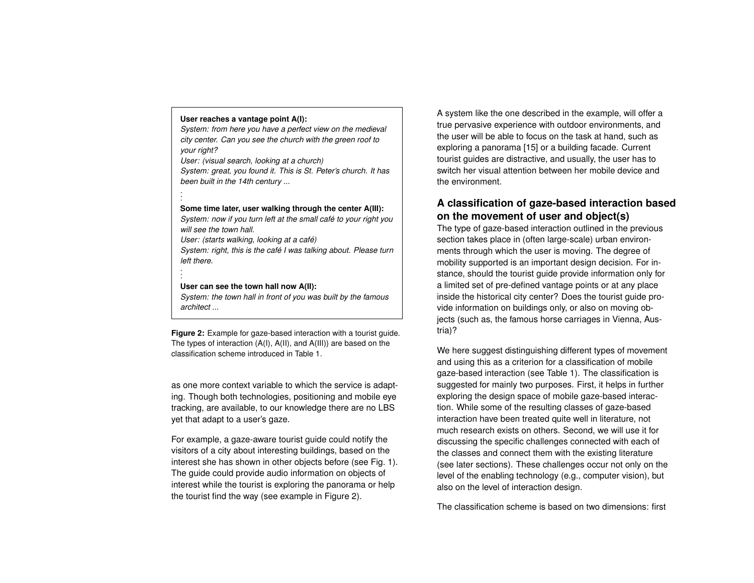#### <span id="page-2-0"></span>**User reaches a vantage point A(I):**

*. . .*

*. .*

*System: from here you have a perfect view on the medieval city center. Can you see the church with the green roof to your right?*

*User: (visual search, looking at a church) System: great, you found it. This is St. Peter's church. It has been built in the 14th century ...*

#### **Some time later, user walking through the center A(III):**

*System: now if you turn left at the small café to your right you will see the town hall.*

*User: (starts walking, looking at a café)*

*System: right, this is the café I was talking about. Please turn left there. .*

#### **User can see the town hall now A(II):**

*System: the town hall in front of you was built by the famous architect ...*

**Figure 2:** Example for gaze-based interaction with a tourist guide. The types of interaction (A(I), A(II), and A(III)) are based on the classification scheme introduced in Table [1.](#page-3-0)

as one more context variable to which the service is adapting. Though both technologies, positioning and mobile eye tracking, are available, to our knowledge there are no LBS yet that adapt to a user's gaze.

For example, a gaze-aware tourist guide could notify the visitors of a city about interesting buildings, based on the interest she has shown in other objects before (see Fig. [1\)](#page-1-0). The guide could provide audio information on objects of interest while the tourist is exploring the panorama or help the tourist find the way (see example in Figure [2\)](#page-2-0).

A system like the one described in the example, will offer a true pervasive experience with outdoor environments, and the user will be able to focus on the task at hand, such as exploring a panorama [\[15\]](#page-8-5) or a building facade. Current tourist guides are distractive, and usually, the user has to switch her visual attention between her mobile device and the environment.

# **A classification of gaze-based interaction based on the movement of user and object(s)**

The type of gaze-based interaction outlined in the previous section takes place in (often large-scale) urban environments through which the user is moving. The degree of mobility supported is an important design decision. For instance, should the tourist guide provide information only for a limited set of pre-defined vantage points or at any place inside the historical city center? Does the tourist guide provide information on buildings only, or also on moving objects (such as, the famous horse carriages in Vienna, Austria)?

We here suggest distinguishing different types of movement and using this as a criterion for a classification of mobile gaze-based interaction (see Table [1\)](#page-3-0). The classification is suggested for mainly two purposes. First, it helps in further exploring the design space of mobile gaze-based interaction. While some of the resulting classes of gaze-based interaction have been treated quite well in literature, not much research exists on others. Second, we will use it for discussing the specific challenges connected with each of the classes and connect them with the existing literature (see later sections). These challenges occur not only on the level of the enabling technology (e.g., computer vision), but also on the level of interaction design.

The classification scheme is based on two dimensions: first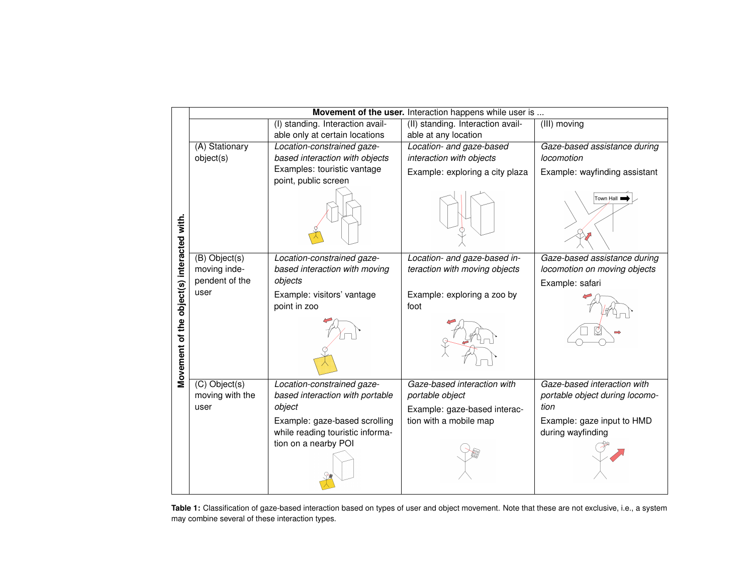<span id="page-3-0"></span>

|                                            | Movement of the user. Interaction happens while user is |                                  |                                   |                                |
|--------------------------------------------|---------------------------------------------------------|----------------------------------|-----------------------------------|--------------------------------|
|                                            |                                                         | (I) standing. Interaction avail- | (II) standing. Interaction avail- | (III) moving                   |
| Movement of the object(s) interacted with. |                                                         | able only at certain locations   | able at any location              |                                |
|                                            | (A) Stationary                                          | Location-constrained gaze-       | Location- and gaze-based          | Gaze-based assistance during   |
|                                            | object(s)                                               | based interaction with objects   | interaction with objects          | locomotion                     |
|                                            |                                                         | Examples: touristic vantage      | Example: exploring a city plaza   | Example: wayfinding assistant  |
|                                            |                                                         | point, public screen             |                                   |                                |
|                                            |                                                         |                                  |                                   | Town Hall I                    |
|                                            | $(B)$ Object(s)                                         | Location-constrained gaze-       | Location- and gaze-based in-      | Gaze-based assistance during   |
|                                            | moving inde-                                            | based interaction with moving    | teraction with moving objects     | locomotion on moving objects   |
|                                            | pendent of the                                          | objects                          |                                   | Example: safari                |
|                                            | user                                                    | Example: visitors' vantage       | Example: exploring a zoo by       |                                |
|                                            |                                                         | point in zoo                     | foot                              |                                |
|                                            |                                                         |                                  |                                   |                                |
|                                            | $(C)$ Object(s)                                         | Location-constrained gaze-       | Gaze-based interaction with       | Gaze-based interaction with    |
|                                            | moving with the                                         | based interaction with portable  | portable object                   | portable object during locomo- |
|                                            | user                                                    | object                           | Example: gaze-based interac-      | tion                           |
|                                            |                                                         | Example: gaze-based scrolling    | tion with a mobile map            | Example: gaze input to HMD     |
|                                            |                                                         | while reading touristic informa- |                                   | during wayfinding              |
|                                            |                                                         | tion on a nearby POI             |                                   |                                |

**Table 1:** Classification of gaze-based interaction based on types of user and object movement. Note that these are not exclusive, i.e., a system may combine several of these interaction types.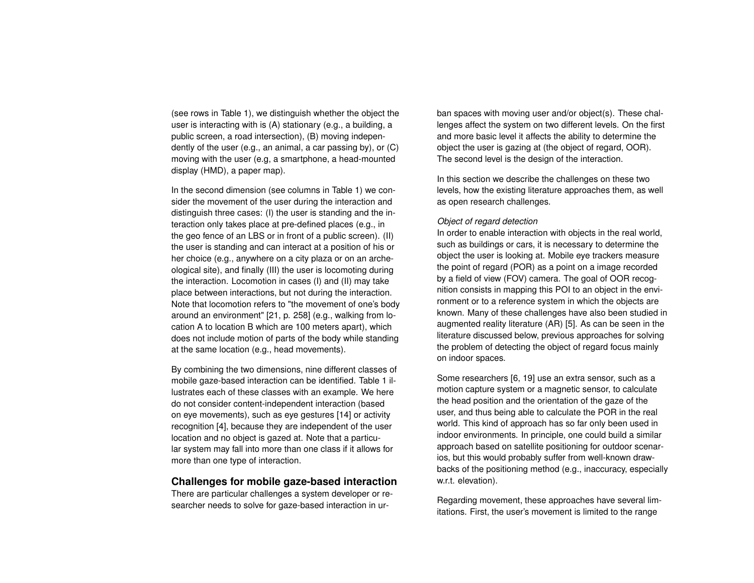(see rows in Table [1\)](#page-3-0), we distinguish whether the object the user is interacting with is (A) stationary (e.g., a building, a public screen, a road intersection), (B) moving independently of the user (e.g., an animal, a car passing by), or (C) moving with the user (e.g, a smartphone, a head-mounted display (HMD), a paper map).

In the second dimension (see columns in Table [1\)](#page-3-0) we consider the movement of the user during the interaction and distinguish three cases: (I) the user is standing and the interaction only takes place at pre-defined places (e.g., in the geo fence of an LBS or in front of a public screen). (II) the user is standing and can interact at a position of his or her choice (e.g., anywhere on a city plaza or on an archeological site), and finally (III) the user is locomoting during the interaction. Locomotion in cases (I) and (II) may take place between interactions, but not during the interaction. Note that locomotion refers to "the movement of one's body around an environment" [\[21,](#page-9-4) p. 258] (e.g., walking from location A to location B which are 100 meters apart), which does not include motion of parts of the body while standing at the same location (e.g., head movements).

By combining the two dimensions, nine different classes of mobile gaze-based interaction can be identified. Table [1](#page-3-0) illustrates each of these classes with an example. We here do not consider content-independent interaction (based on eye movements), such as eye gestures [\[14\]](#page-8-3) or activity recognition [\[4\]](#page-7-0), because they are independent of the user location and no object is gazed at. Note that a particular system may fall into more than one class if it allows for more than one type of interaction.

## **Challenges for mobile gaze-based interaction**

There are particular challenges a system developer or researcher needs to solve for gaze-based interaction in urban spaces with moving user and/or object(s). These challenges affect the system on two different levels. On the first and more basic level it affects the ability to determine the object the user is gazing at (the object of regard, OOR). The second level is the design of the interaction.

In this section we describe the challenges on these two levels, how the existing literature approaches them, as well as open research challenges.

#### *Object of regard detection*

In order to enable interaction with objects in the real world, such as buildings or cars, it is necessary to determine the object the user is looking at. Mobile eye trackers measure the point of regard (POR) as a point on a image recorded by a field of view (FOV) camera. The goal of OOR recognition consists in mapping this POI to an object in the environment or to a reference system in which the objects are known. Many of these challenges have also been studied in augmented reality literature (AR) [\[5\]](#page-7-2). As can be seen in the literature discussed below, previous approaches for solving the problem of detecting the object of regard focus mainly on indoor spaces.

Some researchers [\[6,](#page-7-3) [19\]](#page-9-5) use an extra sensor, such as a motion capture system or a magnetic sensor, to calculate the head position and the orientation of the gaze of the user, and thus being able to calculate the POR in the real world. This kind of approach has so far only been used in indoor environments. In principle, one could build a similar approach based on satellite positioning for outdoor scenarios, but this would probably suffer from well-known drawbacks of the positioning method (e.g., inaccuracy, especially w.r.t. elevation).

Regarding movement, these approaches have several limitations. First, the user's movement is limited to the range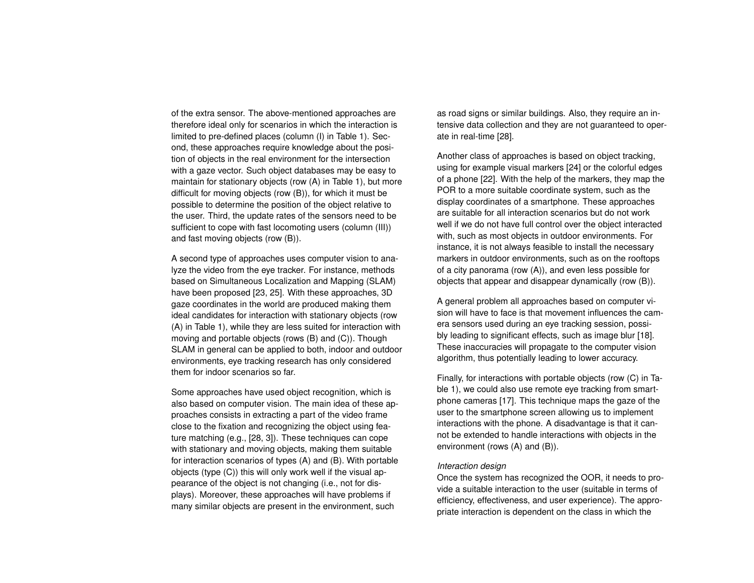of the extra sensor. The above-mentioned approaches are therefore ideal only for scenarios in which the interaction is limited to pre-defined places (column (I) in Table [1\)](#page-3-0). Second, these approaches require knowledge about the position of objects in the real environment for the intersection with a gaze vector. Such object databases may be easy to maintain for stationary objects (row (A) in Table [1\)](#page-3-0), but more difficult for moving objects (row (B)), for which it must be possible to determine the position of the object relative to the user. Third, the update rates of the sensors need to be sufficient to cope with fast locomoting users (column (III)) and fast moving objects (row (B)).

A second type of approaches uses computer vision to analyze the video from the eye tracker. For instance, methods based on Simultaneous Localization and Mapping (SLAM) have been proposed [\[23,](#page-9-6) [25\]](#page-9-7). With these approaches, 3D gaze coordinates in the world are produced making them ideal candidates for interaction with stationary objects (row (A) in Table [1\)](#page-3-0), while they are less suited for interaction with moving and portable objects (rows (B) and (C)). Though SLAM in general can be applied to both, indoor and outdoor environments, eye tracking research has only considered them for indoor scenarios so far.

Some approaches have used object recognition, which is also based on computer vision. The main idea of these approaches consists in extracting a part of the video frame close to the fixation and recognizing the object using feature matching (e.g., [\[28,](#page-9-1) [3\]](#page-7-1)). These techniques can cope with stationary and moving objects, making them suitable for interaction scenarios of types (A) and (B). With portable objects (type (C)) this will only work well if the visual appearance of the object is not changing (i.e., not for displays). Moreover, these approaches will have problems if many similar objects are present in the environment, such

as road signs or similar buildings. Also, they require an intensive data collection and they are not guaranteed to operate in real-time [\[28\]](#page-9-1).

Another class of approaches is based on object tracking, using for example visual markers [\[24\]](#page-9-8) or the colorful edges of a phone [\[22\]](#page-9-9). With the help of the markers, they map the POR to a more suitable coordinate system, such as the display coordinates of a smartphone. These approaches are suitable for all interaction scenarios but do not work well if we do not have full control over the object interacted with, such as most objects in outdoor environments. For instance, it is not always feasible to install the necessary markers in outdoor environments, such as on the rooftops of a city panorama (row (A)), and even less possible for objects that appear and disappear dynamically (row (B)).

A general problem all approaches based on computer vision will have to face is that movement influences the camera sensors used during an eye tracking session, possibly leading to significant effects, such as image blur [\[18\]](#page-9-10). These inaccuracies will propagate to the computer vision algorithm, thus potentially leading to lower accuracy.

Finally, for interactions with portable objects (row (C) in Table [1\)](#page-3-0), we could also use remote eye tracking from smartphone cameras [\[17\]](#page-8-6). This technique maps the gaze of the user to the smartphone screen allowing us to implement interactions with the phone. A disadvantage is that it cannot be extended to handle interactions with objects in the environment (rows (A) and (B)).

#### *Interaction design*

Once the system has recognized the OOR, it needs to provide a suitable interaction to the user (suitable in terms of efficiency, effectiveness, and user experience). The appropriate interaction is dependent on the class in which the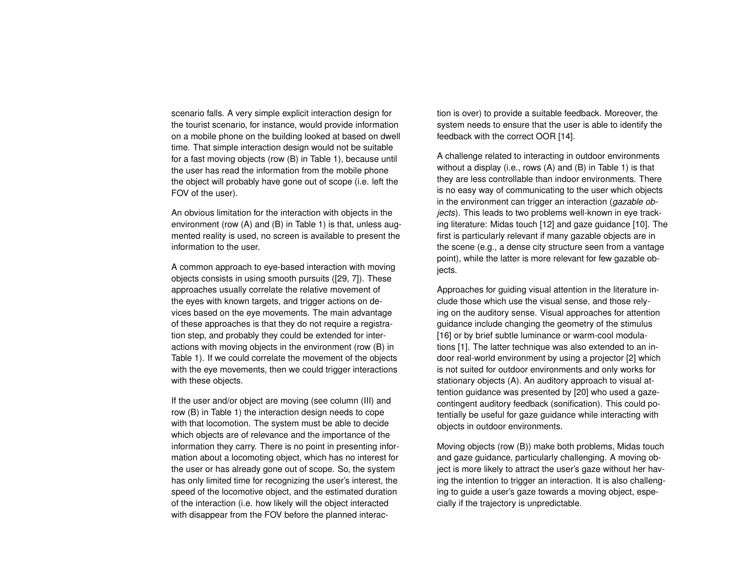scenario falls. A very simple explicit interaction design for the tourist scenario, for instance, would provide information on a mobile phone on the building looked at based on dwell time. That simple interaction design would not be suitable for a fast moving objects (row (B) in Table [1\)](#page-3-0), because until the user has read the information from the mobile phone the object will probably have gone out of scope (i.e. left the FOV of the user).

An obvious limitation for the interaction with objects in the environment (row (A) and (B) in Table [1\)](#page-3-0) is that, unless augmented reality is used, no screen is available to present the information to the user.

A common approach to eye-based interaction with moving objects consists in using smooth pursuits ([\[29,](#page-9-11) [7\]](#page-8-7)). These approaches usually correlate the relative movement of the eyes with known targets, and trigger actions on devices based on the eye movements. The main advantage of these approaches is that they do not require a registration step, and probably they could be extended for interactions with moving objects in the environment (row (B) in Table [1\)](#page-3-0). If we could correlate the movement of the objects with the eye movements, then we could trigger interactions with these objects.

If the user and/or object are moving (see column (III) and row (B) in Table [1\)](#page-3-0) the interaction design needs to cope with that locomotion. The system must be able to decide which objects are of relevance and the importance of the information they carry. There is no point in presenting information about a locomoting object, which has no interest for the user or has already gone out of scope. So, the system has only limited time for recognizing the user's interest, the speed of the locomotive object, and the estimated duration of the interaction (i.e. how likely will the object interacted with disappear from the FOV before the planned interaction is over) to provide a suitable feedback. Moreover, the system needs to ensure that the user is able to identify the feedback with the correct OOR [\[14\]](#page-8-3).

A challenge related to interacting in outdoor environments without a display (i.e., rows (A) and (B) in Table [1\)](#page-3-0) is that they are less controllable than indoor environments. There is no easy way of communicating to the user which objects in the environment can trigger an interaction (*gazable objects*). This leads to two problems well-known in eye tracking literature: Midas touch [\[12\]](#page-8-8) and gaze guidance [\[10\]](#page-8-9). The first is particularly relevant if many gazable objects are in the scene (e.g., a dense city structure seen from a vantage point), while the latter is more relevant for few gazable objects.

Approaches for guiding visual attention in the literature include those which use the visual sense, and those relying on the auditory sense. Visual approaches for attention guidance include changing the geometry of the stimulus [\[16\]](#page-8-10) or by brief subtle luminance or warm-cool modulations [\[1\]](#page-7-4). The latter technique was also extended to an indoor real-world environment by using a projector [\[2\]](#page-7-5) which is not suited for outdoor environments and only works for stationary objects (A). An auditory approach to visual attention guidance was presented by [\[20\]](#page-9-12) who used a gazecontingent auditory feedback (sonification). This could potentially be useful for gaze guidance while interacting with objects in outdoor environments.

Moving objects (row (B)) make both problems, Midas touch and gaze guidance, particularly challenging. A moving object is more likely to attract the user's gaze without her having the intention to trigger an interaction. It is also challenging to guide a user's gaze towards a moving object, especially if the trajectory is unpredictable.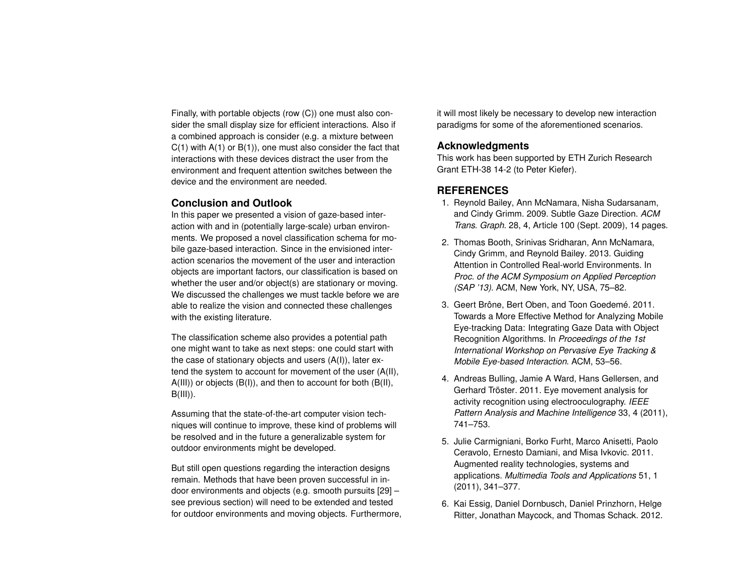Finally, with portable objects (row (C)) one must also consider the small display size for efficient interactions. Also if a combined approach is consider (e.g. a mixture between  $C(1)$  with  $A(1)$  or  $B(1)$ , one must also consider the fact that interactions with these devices distract the user from the environment and frequent attention switches between the device and the environment are needed.

# **Conclusion and Outlook**

In this paper we presented a vision of gaze-based interaction with and in (potentially large-scale) urban environments. We proposed a novel classification schema for mobile gaze-based interaction. Since in the envisioned interaction scenarios the movement of the user and interaction objects are important factors, our classification is based on whether the user and/or object(s) are stationary or moving. We discussed the challenges we must tackle before we are able to realize the vision and connected these challenges with the existing literature.

The classification scheme also provides a potential path one might want to take as next steps: one could start with the case of stationary objects and users (A(I)), later extend the system to account for movement of the user (A(II), A(III)) or objects (B(I)), and then to account for both (B(II),  $B(III)$ ).

Assuming that the state-of-the-art computer vision techniques will continue to improve, these kind of problems will be resolved and in the future a generalizable system for outdoor environments might be developed.

But still open questions regarding the interaction designs remain. Methods that have been proven successful in indoor environments and objects (e.g. smooth pursuits [\[29\]](#page-9-11) – see previous section) will need to be extended and tested for outdoor environments and moving objects. Furthermore, it will most likely be necessary to develop new interaction paradigms for some of the aforementioned scenarios.

# **Acknowledgments**

This work has been supported by ETH Zurich Research Grant ETH-38 14-2 (to Peter Kiefer).

# **REFERENCES**

- <span id="page-7-4"></span>1. Reynold Bailey, Ann McNamara, Nisha Sudarsanam, and Cindy Grimm. 2009. Subtle Gaze Direction. *ACM Trans. Graph.* 28, 4, Article 100 (Sept. 2009), 14 pages.
- <span id="page-7-5"></span>2. Thomas Booth, Srinivas Sridharan, Ann McNamara, Cindy Grimm, and Reynold Bailey. 2013. Guiding Attention in Controlled Real-world Environments. In *Proc. of the ACM Symposium on Applied Perception (SAP '13)*. ACM, New York, NY, USA, 75–82.
- <span id="page-7-1"></span>3. Geert Brône, Bert Oben, and Toon Goedemé. 2011. Towards a More Effective Method for Analyzing Mobile Eye-tracking Data: Integrating Gaze Data with Object Recognition Algorithms. In *Proceedings of the 1st International Workshop on Pervasive Eye Tracking & Mobile Eye-based Interaction*. ACM, 53–56.
- <span id="page-7-0"></span>4. Andreas Bulling, Jamie A Ward, Hans Gellersen, and Gerhard Tröster. 2011. Eye movement analysis for activity recognition using electrooculography. *IEEE Pattern Analysis and Machine Intelligence* 33, 4 (2011), 741–753.
- <span id="page-7-2"></span>5. Julie Carmigniani, Borko Furht, Marco Anisetti, Paolo Ceravolo, Ernesto Damiani, and Misa Ivkovic. 2011. Augmented reality technologies, systems and applications. *Multimedia Tools and Applications* 51, 1 (2011), 341–377.
- <span id="page-7-3"></span>6. Kai Essig, Daniel Dornbusch, Daniel Prinzhorn, Helge Ritter, Jonathan Maycock, and Thomas Schack. 2012.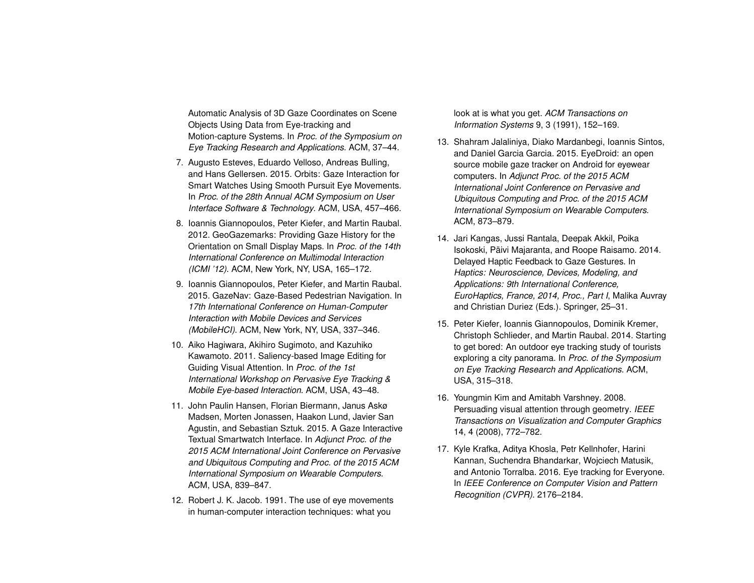Automatic Analysis of 3D Gaze Coordinates on Scene Objects Using Data from Eye-tracking and Motion-capture Systems. In *Proc. of the Symposium on Eye Tracking Research and Applications*. ACM, 37–44.

- <span id="page-8-7"></span>7. Augusto Esteves, Eduardo Velloso, Andreas Bulling, and Hans Gellersen. 2015. Orbits: Gaze Interaction for Smart Watches Using Smooth Pursuit Eye Movements. In *Proc. of the 28th Annual ACM Symposium on User Interface Software & Technology*. ACM, USA, 457–466.
- <span id="page-8-0"></span>8. Ioannis Giannopoulos, Peter Kiefer, and Martin Raubal. 2012. GeoGazemarks: Providing Gaze History for the Orientation on Small Display Maps. In *Proc. of the 14th International Conference on Multimodal Interaction (ICMI '12)*. ACM, New York, NY, USA, 165–172.
- <span id="page-8-4"></span>9. Ioannis Giannopoulos, Peter Kiefer, and Martin Raubal. 2015. GazeNav: Gaze-Based Pedestrian Navigation. In *17th International Conference on Human-Computer Interaction with Mobile Devices and Services (MobileHCI)*. ACM, New York, NY, USA, 337–346.
- <span id="page-8-9"></span>10. Aiko Hagiwara, Akihiro Sugimoto, and Kazuhiko Kawamoto. 2011. Saliency-based Image Editing for Guiding Visual Attention. In *Proc. of the 1st International Workshop on Pervasive Eye Tracking & Mobile Eye-based Interaction*. ACM, USA, 43–48.
- <span id="page-8-1"></span>11. John Paulin Hansen, Florian Biermann, Janus Askø Madsen, Morten Jonassen, Haakon Lund, Javier San Agustin, and Sebastian Sztuk. 2015. A Gaze Interactive Textual Smartwatch Interface. In *Adjunct Proc. of the 2015 ACM International Joint Conference on Pervasive and Ubiquitous Computing and Proc. of the 2015 ACM International Symposium on Wearable Computers*. ACM, USA, 839–847.
- <span id="page-8-8"></span>12. Robert J. K. Jacob. 1991. The use of eye movements in human-computer interaction techniques: what you

look at is what you get. *ACM Transactions on Information Systems* 9, 3 (1991), 152–169.

- <span id="page-8-2"></span>13. Shahram Jalaliniya, Diako Mardanbegi, Ioannis Sintos, and Daniel Garcia Garcia. 2015. EyeDroid: an open source mobile gaze tracker on Android for eyewear computers. In *Adjunct Proc. of the 2015 ACM International Joint Conference on Pervasive and Ubiquitous Computing and Proc. of the 2015 ACM International Symposium on Wearable Computers*. ACM, 873–879.
- <span id="page-8-3"></span>14. Jari Kangas, Jussi Rantala, Deepak Akkil, Poika Isokoski, Päivi Majaranta, and Roope Raisamo. 2014. Delayed Haptic Feedback to Gaze Gestures. In *Haptics: Neuroscience, Devices, Modeling, and Applications: 9th International Conference, EuroHaptics, France, 2014, Proc., Part I*, Malika Auvray and Christian Duriez (Eds.). Springer, 25–31.
- <span id="page-8-5"></span>15. Peter Kiefer, Ioannis Giannopoulos, Dominik Kremer, Christoph Schlieder, and Martin Raubal. 2014. Starting to get bored: An outdoor eye tracking study of tourists exploring a city panorama. In *Proc. of the Symposium on Eye Tracking Research and Applications*. ACM, USA, 315–318.
- <span id="page-8-10"></span>16. Youngmin Kim and Amitabh Varshney. 2008. Persuading visual attention through geometry. *IEEE Transactions on Visualization and Computer Graphics* 14, 4 (2008), 772–782.
- <span id="page-8-6"></span>17. Kyle Krafka, Aditya Khosla, Petr Kellnhofer, Harini Kannan, Suchendra Bhandarkar, Wojciech Matusik, and Antonio Torralba. 2016. Eye tracking for Everyone. In *IEEE Conference on Computer Vision and Pattern Recognition (CVPR)*. 2176–2184.